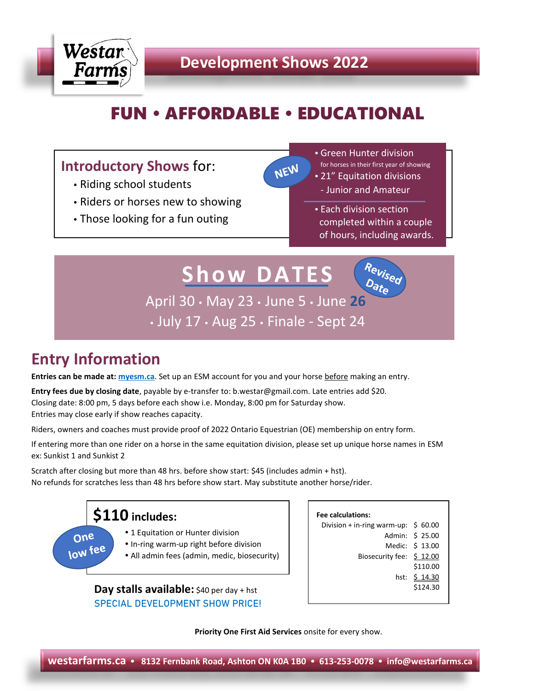

## **Development Shows 2022**

# **FUN • AFFORDABLE • EDUCATIONAL**

NEW

### **Introductory Shows** for:

- Riding school students
- Riders or horses new to showing
- Those looking for a fun outing

 Green Hunter division for horses in their first year of showing 21" Equitation divisions - Junior and Amateur

 Each division section completed within a couple of hours, including awards.

 $\rho_{\scriptstyle \sigma t_{\scriptstyle \Theta}}$ 

**Show DATES**

April 30 May 23 June 5 June **26** July 17 Aug 25 Finale - Sept 24

## **Entry Information**

**Entries can be made at[: myesm.ca](https://www.myesm.ca/)**. Set up an ESM account for you and your horse before making an entry.

**Entry fees due by closing date**, payable by e-transfer to: b.westar@gmail.com. Late entries add \$20. Closing date: 8:00 pm, 5 days before each show i.e. Monday, 8:00 pm for Saturday show.

Entries may close early if show reaches capacity.

Riders, owners and coaches must provide proof of 2022 Ontario Equestrian (OE) membership on entry form.

If entering more than one rider on a horse in the same equitation division, please set up unique horse names in ESM ex: Sunkist 1 and Sunkist 2

Scratch after closing but more than 48 hrs. before show start: \$45 (includes admin + hst). No refunds for scratches less than 48 hrs before show start. May substitute another horse/rider.



SPECIAL DEVELOPMENT SHOW PRICE!

| Fee calculations:                               |                 |
|-------------------------------------------------|-----------------|
| Division + in-ring warm-up: $\frac{1}{2}$ 60.00 |                 |
|                                                 | Admin: \$ 25.00 |
|                                                 | Medic: \$ 13.00 |
| Biosecurity fee: \$12.00                        |                 |
|                                                 | \$110.00        |
|                                                 | hst: \$ 14.30   |
|                                                 | \$124.30        |
|                                                 |                 |

**Priority One First Aid Services** onsite for every show.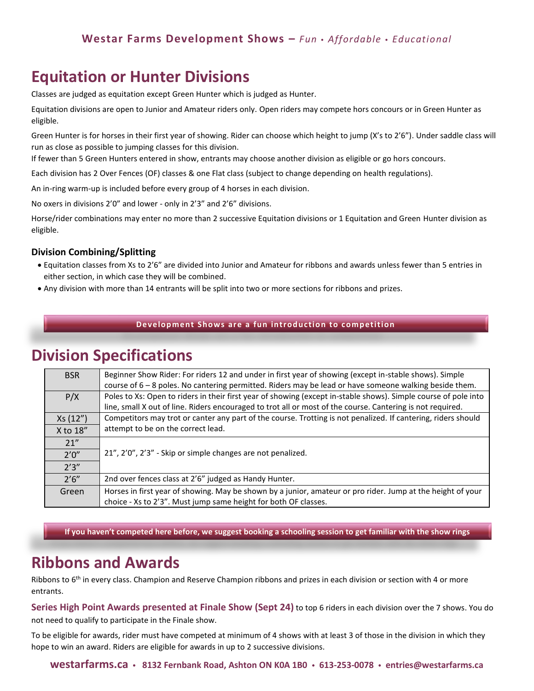## **Equitation or Hunter Divisions**

Classes are judged as equitation except Green Hunter which is judged as Hunter.

Equitation divisions are open to Junior and Amateur riders only. Open riders may compete hors concours or in Green Hunter as eligible.

Green Hunter is for horses in their first year of showing. Rider can choose which height to jump (X's to 2'6"). Under saddle class will run as close as possible to jumping classes for this division.

If fewer than 5 Green Hunters entered in show, entrants may choose another division as eligible or go hors concours.

Each division has 2 Over Fences (OF) classes & one Flat class (subject to change depending on health regulations).

An in-ring warm-up is included before every group of 4 horses in each division.

No oxers in divisions 2'0" and lower - only in 2'3" and 2'6" divisions.

Horse/rider combinations may enter no more than 2 successive Equitation divisions or 1 Equitation and Green Hunter division as eligible.

#### **Division Combining/Splitting**

- Equitation classes from Xs to 2'6" are divided into Junior and Amateur for ribbons and awards unless fewer than 5 entries in either section, in which case they will be combined.
- Any division with more than 14 entrants will be split into two or more sections for ribbons and prizes.

#### **Developm ent Shows are a fun introduction to competition**

### **Division Specifications**

| <b>BSR</b> | Beginner Show Rider: For riders 12 and under in first year of showing (except in-stable shows). Simple<br>course of 6 – 8 poles. No cantering permitted. Riders may be lead or have someone walking beside them. |  |
|------------|------------------------------------------------------------------------------------------------------------------------------------------------------------------------------------------------------------------|--|
| P/X        | Poles to Xs: Open to riders in their first year of showing (except in-stable shows). Simple course of pole into                                                                                                  |  |
|            | line, small X out of line. Riders encouraged to trot all or most of the course. Cantering is not required.                                                                                                       |  |
| Xs(12")    | Competitors may trot or canter any part of the course. Trotting is not penalized. If cantering, riders should                                                                                                    |  |
| $X$ to 18" | attempt to be on the correct lead.                                                                                                                                                                               |  |
| 21''       |                                                                                                                                                                                                                  |  |
| 2'0''      | 21", 2'0", 2'3" - Skip or simple changes are not penalized.                                                                                                                                                      |  |
| 2'3''      |                                                                                                                                                                                                                  |  |
| 2'6''      | 2nd over fences class at 2'6" judged as Handy Hunter.                                                                                                                                                            |  |
| Green      | Horses in first year of showing. May be shown by a junior, amateur or pro rider. Jump at the height of your                                                                                                      |  |
|            | choice - Xs to 2'3". Must jump same height for both OF classes.                                                                                                                                                  |  |

**If you haven't competed here before, we suggest booking a schooling session to get familiar with the show rings**

### **Ribbons and Awards**

Ribbons to 6<sup>th</sup> in every class. Champion and Reserve Champion ribbons and prizes in each division or section with 4 or more entrants.

**Series High Point Awards presented at Finale Show (Sept 24)** to top 6 riders in each division over the 7 shows. You do not need to qualify to participate in the Finale show.

To be eligible for awards, rider must have competed at minimum of 4 shows with at least 3 of those in the division in which they hope to win an award. Riders are eligible for awards in up to 2 successive divisions.